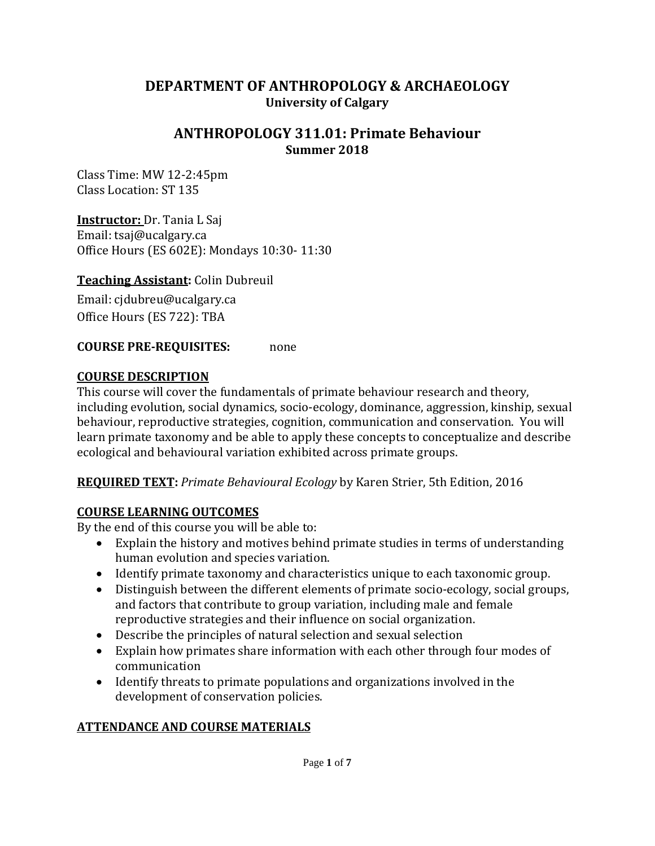### **DEPARTMENT OF ANTHROPOLOGY & ARCHAEOLOGY University of Calgary**

### **ANTHROPOLOGY 311.01: Primate Behaviour Summer 2018**

Class Time: MW 12-2:45pm Class Location: ST 135

**Instructor:** Dr. Tania L Saj Email: tsaj@ucalgary.ca Office Hours (ES 602E): Mondays 10:30- 11:30

#### **Teaching Assistant:** Colin Dubreuil

Email: cjdubreu@ucalgary.ca Office Hours (ES 722): TBA

#### **COURSE PRE-REQUISITES:** none

#### **COURSE DESCRIPTION**

This course will cover the fundamentals of primate behaviour research and theory, including evolution, social dynamics, socio-ecology, dominance, aggression, kinship, sexual behaviour, reproductive strategies, cognition, communication and conservation. You will learn primate taxonomy and be able to apply these concepts to conceptualize and describe ecological and behavioural variation exhibited across primate groups.

### **REQUIRED TEXT:** *Primate Behavioural Ecology* by Karen Strier, 5th Edition, 2016

### **COURSE LEARNING OUTCOMES**

By the end of this course you will be able to:

- Explain the history and motives behind primate studies in terms of understanding human evolution and species variation.
- Identify primate taxonomy and characteristics unique to each taxonomic group.
- Distinguish between the different elements of primate socio-ecology, social groups, and factors that contribute to group variation, including male and female reproductive strategies and their influence on social organization.
- Describe the principles of natural selection and sexual selection
- Explain how primates share information with each other through four modes of communication
- Identify threats to primate populations and organizations involved in the development of conservation policies.

# **ATTENDANCE AND COURSE MATERIALS**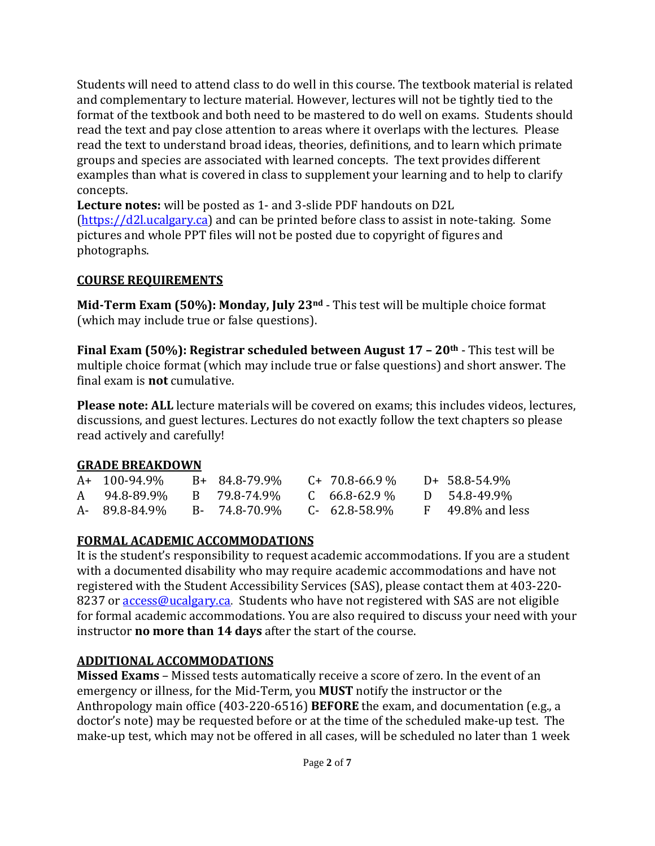Students will need to attend class to do well in this course. The textbook material is related and complementary to lecture material. However, lectures will not be tightly tied to the format of the textbook and both need to be mastered to do well on exams. Students should read the text and pay close attention to areas where it overlaps with the lectures. Please read the text to understand broad ideas, theories, definitions, and to learn which primate groups and species are associated with learned concepts. The text provides different examples than what is covered in class to supplement your learning and to help to clarify concepts.

**Lecture notes:** will be posted as 1- and 3-slide PDF handouts on D2L [\(https://d2l.ucalgary.ca\)](https://d2l.ucalgary.ca/) and can be printed before class to assist in note-taking. Some pictures and whole PPT files will not be posted due to copyright of figures and photographs.

#### **COURSE REQUIREMENTS**

**Mid-Term Exam (50%): Monday, July 23nd** - This test will be multiple choice format (which may include true or false questions).

**Final Exam (50%): Registrar scheduled between August 17 – 20th** - This test will be multiple choice format (which may include true or false questions) and short answer. The final exam is **not** cumulative.

**Please note: ALL** lecture materials will be covered on exams; this includes videos, lectures, discussions, and guest lectures. Lectures do not exactly follow the text chapters so please read actively and carefully!

### **GRADE BREAKDOWN**

| A+ 100-94.9%  | $B+ 84.8-79.9\%$ $C+ 70.8-66.9\%$ |                     | D+ 58.8-54.9%         |
|---------------|-----------------------------------|---------------------|-----------------------|
| A 94.8-89.9%  | B 79.8-74.9%                      | $C = 66.8 - 62.9\%$ | D 54.8-49.9%          |
| A- 89.8-84.9% | B- 74.8-70.9%                     | $C-62.8-58.9\%$     | $F = 49.8\%$ and less |

# **FORMAL ACADEMIC ACCOMMODATIONS**

It is the student's responsibility to request academic accommodations. If you are a student with a documented disability who may require academic accommodations and have not registered with the Student Accessibility Services (SAS), please contact them at 403-220 8237 or [access@ucalgary.ca.](mailto:access@ucalgary.ca) Students who have not registered with SAS are not eligible for formal academic accommodations. You are also required to discuss your need with your instructor **no more than 14 days** after the start of the course.

### **ADDITIONAL ACCOMMODATIONS**

**Missed Exams** – Missed tests automatically receive a score of zero. In the event of an emergency or illness, for the Mid-Term, you **MUST** notify the instructor or the Anthropology main office (403-220-6516) **BEFORE** the exam, and documentation (e.g., a doctor's note) may be requested before or at the time of the scheduled make-up test. The make-up test, which may not be offered in all cases, will be scheduled no later than 1 week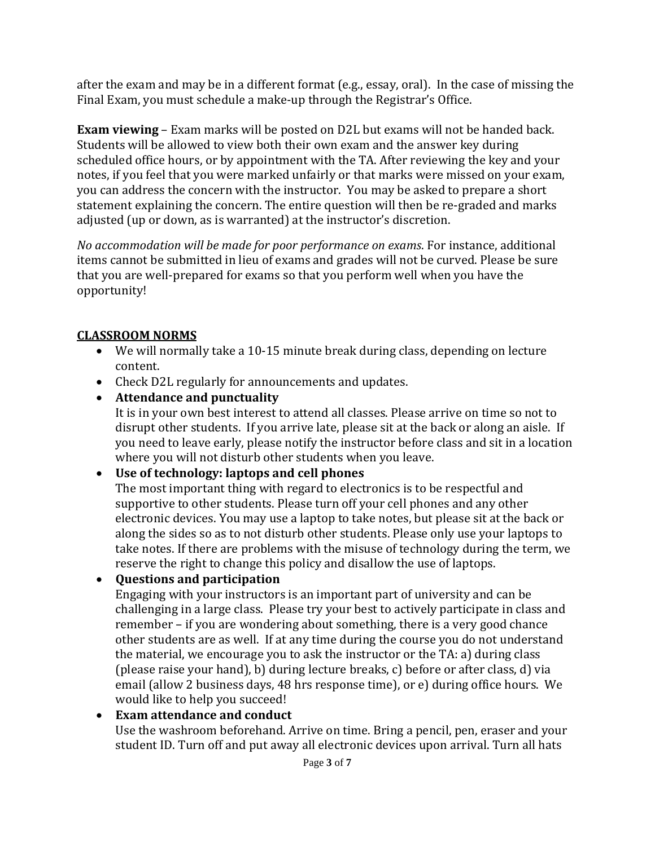after the exam and may be in a different format (e.g., essay, oral). In the case of missing the Final Exam, you must schedule a make-up through the Registrar's Office.

**Exam viewing** – Exam marks will be posted on D2L but exams will not be handed back. Students will be allowed to view both their own exam and the answer key during scheduled office hours, or by appointment with the TA. After reviewing the key and your notes, if you feel that you were marked unfairly or that marks were missed on your exam, you can address the concern with the instructor. You may be asked to prepare a short statement explaining the concern. The entire question will then be re-graded and marks adjusted (up or down, as is warranted) at the instructor's discretion.

*No accommodation will be made for poor performance on exams*. For instance, additional items cannot be submitted in lieu of exams and grades will not be curved. Please be sure that you are well-prepared for exams so that you perform well when you have the opportunity!

### **CLASSROOM NORMS**

- We will normally take a 10-15 minute break during class, depending on lecture content.
- Check D2L regularly for announcements and updates.
- **Attendance and punctuality**

It is in your own best interest to attend all classes. Please arrive on time so not to disrupt other students. If you arrive late, please sit at the back or along an aisle. If you need to leave early, please notify the instructor before class and sit in a location where you will not disturb other students when you leave.

• **Use of technology: laptops and cell phones** 

The most important thing with regard to electronics is to be respectful and supportive to other students. Please turn off your cell phones and any other electronic devices. You may use a laptop to take notes, but please sit at the back or along the sides so as to not disturb other students. Please only use your laptops to take notes. If there are problems with the misuse of technology during the term, we reserve the right to change this policy and disallow the use of laptops.

• **Questions and participation**

Engaging with your instructors is an important part of university and can be challenging in a large class. Please try your best to actively participate in class and remember – if you are wondering about something, there is a very good chance other students are as well. If at any time during the course you do not understand the material, we encourage you to ask the instructor or the TA: a) during class (please raise your hand), b) during lecture breaks, c) before or after class, d) via email (allow 2 business days, 48 hrs response time), or e) during office hours. We would like to help you succeed!

# • **Exam attendance and conduct**

Use the washroom beforehand. Arrive on time. Bring a pencil, pen, eraser and your student ID. Turn off and put away all electronic devices upon arrival. Turn all hats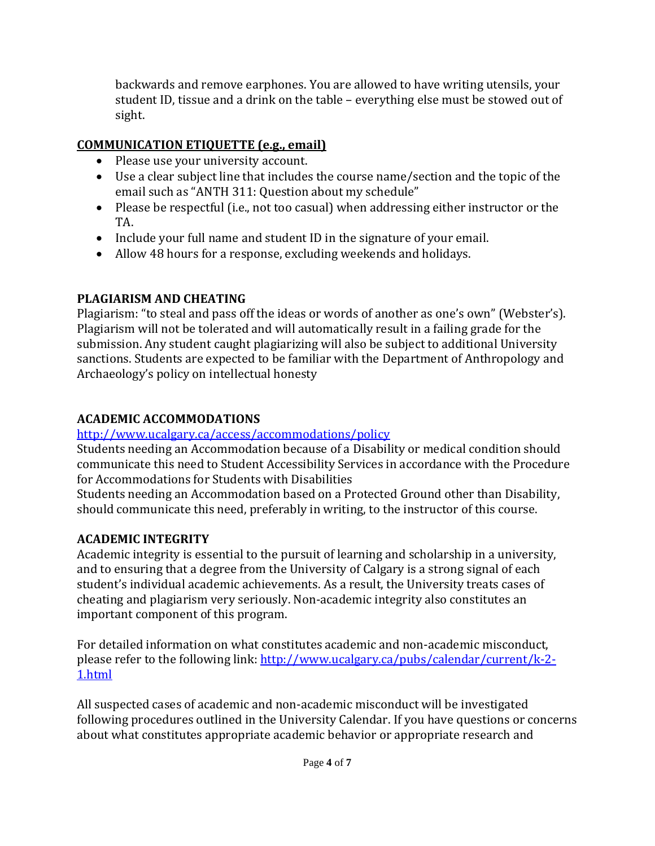backwards and remove earphones. You are allowed to have writing utensils, your student ID, tissue and a drink on the table – everything else must be stowed out of sight.

# **COMMUNICATION ETIQUETTE (e.g., email)**

- Please use your university account.
- Use a clear subject line that includes the course name/section and the topic of the email such as "ANTH 311: Question about my schedule"
- Please be respectful (i.e., not too casual) when addressing either instructor or the TA.
- Include your full name and student ID in the signature of your email.
- Allow 48 hours for a response, excluding weekends and holidays.

# **PLAGIARISM AND CHEATING**

Plagiarism: "to steal and pass off the ideas or words of another as one's own" (Webster's). Plagiarism will not be tolerated and will automatically result in a failing grade for the submission. Any student caught plagiarizing will also be subject to additional University sanctions. Students are expected to be familiar with the Department of Anthropology and Archaeology's policy on intellectual honesty

# **ACADEMIC ACCOMMODATIONS**

# <http://www.ucalgary.ca/access/accommodations/policy>

Students needing an Accommodation because of a Disability or medical condition should communicate this need to Student Accessibility Services in accordance with the Procedure for Accommodations for Students with Disabilities

Students needing an Accommodation based on a Protected Ground other than Disability, should communicate this need, preferably in writing, to the instructor of this course.

# **ACADEMIC INTEGRITY**

Academic integrity is essential to the pursuit of learning and scholarship in a university, and to ensuring that a degree from the University of Calgary is a strong signal of each student's individual academic achievements. As a result, the University treats cases of cheating and plagiarism very seriously. Non-academic integrity also constitutes an important component of this program.

For detailed information on what constitutes academic and non-academic misconduct, please refer to the following link: [http://www.ucalgary.ca/pubs/calendar/current/k-2-](http://www.ucalgary.ca/pubs/calendar/current/k-2-1.html) [1.html](http://www.ucalgary.ca/pubs/calendar/current/k-2-1.html)

All suspected cases of academic and non-academic misconduct will be investigated following procedures outlined in the University Calendar. If you have questions or concerns about what constitutes appropriate academic behavior or appropriate research and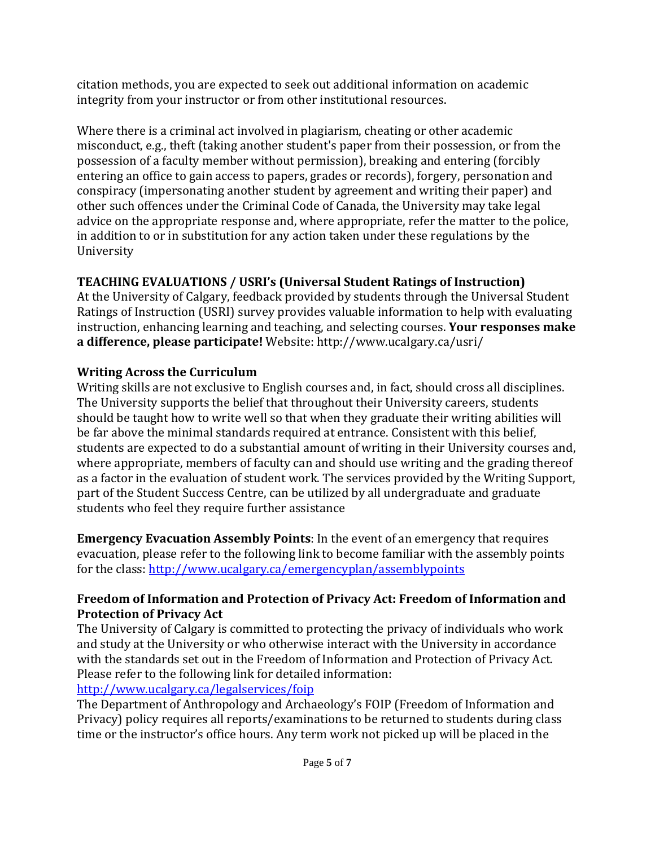citation methods, you are expected to seek out additional information on academic integrity from your instructor or from other institutional resources.

Where there is a criminal act involved in plagiarism, cheating or other academic misconduct, e.g., theft (taking another student's paper from their possession, or from the possession of a faculty member without permission), breaking and entering (forcibly entering an office to gain access to papers, grades or records), forgery, personation and conspiracy (impersonating another student by agreement and writing their paper) and other such offences under the Criminal Code of Canada, the University may take legal advice on the appropriate response and, where appropriate, refer the matter to the police, in addition to or in substitution for any action taken under these regulations by the University

# **TEACHING EVALUATIONS / USRI's (Universal Student Ratings of Instruction)**

At the University of Calgary, feedback provided by students through the Universal Student Ratings of Instruction (USRI) survey provides valuable information to help with evaluating instruction, enhancing learning and teaching, and selecting courses. **Your responses make a difference, please participate!** Website: http://www.ucalgary.ca/usri/

# **Writing Across the Curriculum**

Writing skills are not exclusive to English courses and, in fact, should cross all disciplines. The University supports the belief that throughout their University careers, students should be taught how to write well so that when they graduate their writing abilities will be far above the minimal standards required at entrance. Consistent with this belief, students are expected to do a substantial amount of writing in their University courses and, where appropriate, members of faculty can and should use writing and the grading thereof as a factor in the evaluation of student work. The services provided by the Writing Support, part of the Student Success Centre, can be utilized by all undergraduate and graduate students who feel they require further assistance

**Emergency Evacuation Assembly Points**: In the event of an emergency that requires evacuation, please refer to the following link to become familiar with the assembly points for the class:<http://www.ucalgary.ca/emergencyplan/assemblypoints>

### **Freedom of Information and Protection of Privacy Act: Freedom of Information and Protection of Privacy Act**

The University of Calgary is committed to protecting the privacy of individuals who work and study at the University or who otherwise interact with the University in accordance with the standards set out in the Freedom of Information and Protection of Privacy Act. Please refer to the following link for detailed information:

<http://www.ucalgary.ca/legalservices/foip>

The Department of Anthropology and Archaeology's FOIP (Freedom of Information and Privacy) policy requires all reports/examinations to be returned to students during class time or the instructor's office hours. Any term work not picked up will be placed in the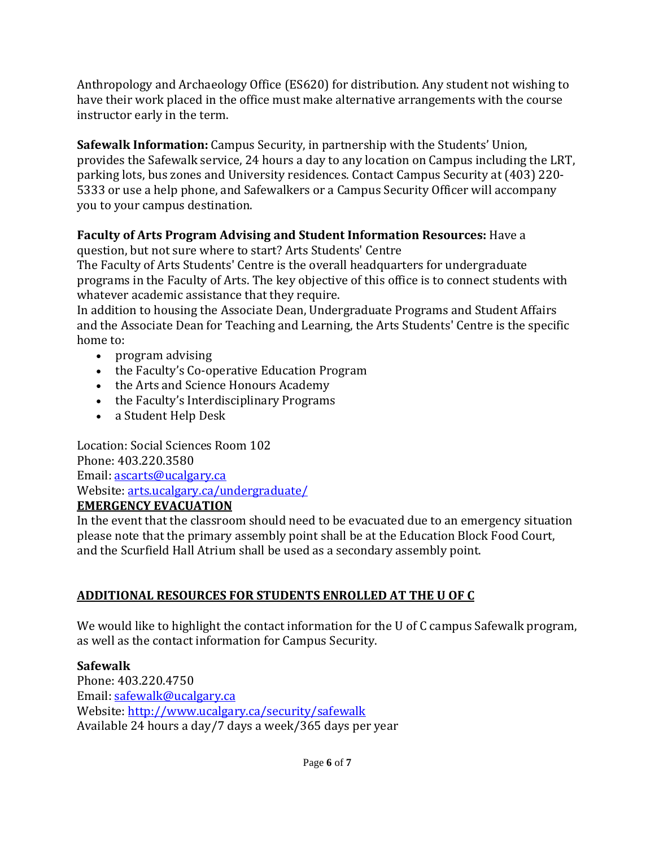Anthropology and Archaeology Office (ES620) for distribution. Any student not wishing to have their work placed in the office must make alternative arrangements with the course instructor early in the term.

**Safewalk Information:** Campus Security, in partnership with the Students' Union, provides the Safewalk service, 24 hours a day to any location on Campus including the LRT, parking lots, bus zones and University residences. Contact Campus Security at (403) 220- 5333 or use a help phone, and Safewalkers or a Campus Security Officer will accompany you to your campus destination.

# **Faculty of Arts Program Advising and Student Information Resources:** Have a

question, but not sure where to start? Arts Students' Centre

The Faculty of Arts Students' Centre is the overall headquarters for undergraduate programs in the Faculty of Arts. The key objective of this office is to connect students with whatever academic assistance that they require.

In addition to housing the Associate Dean, Undergraduate Programs and Student Affairs and the Associate Dean for Teaching and Learning, the Arts Students' Centre is the specific home to:

- program advising
- the Faculty's Co-operative Education Program
- the Arts and Science Honours Academy
- the Faculty's Interdisciplinary Programs
- a Student Help Desk

Location: Social Sciences Room 102 Phone: 403.220.3580 Email: [ascarts@ucalgary.ca](http://ucalgary.ca/pubs/calendar/current/ascarts@ucalgary.ca) Website[: arts.ucalgary.ca/undergraduate/](http://arts.ucalgary.ca/undergraduate/) **EMERGENCY EVACUATION**

In the event that the classroom should need to be evacuated due to an emergency situation please note that the primary assembly point shall be at the Education Block Food Court, and the Scurfield Hall Atrium shall be used as a secondary assembly point.

# **ADDITIONAL RESOURCES FOR STUDENTS ENROLLED AT THE U OF C**

We would like to highlight the contact information for the U of C campus Safewalk program, as well as the contact information for Campus Security.

# **Safewalk**

Phone: 403.220.4750 Email: [safewalk@ucalgary.ca](mailto:safewalk@ucalgary.ca) Website[: http://www.ucalgary.ca/security/safewalk](http://www.ucalgary.ca/security/safewalk) Available 24 hours a day/7 days a week/365 days per year